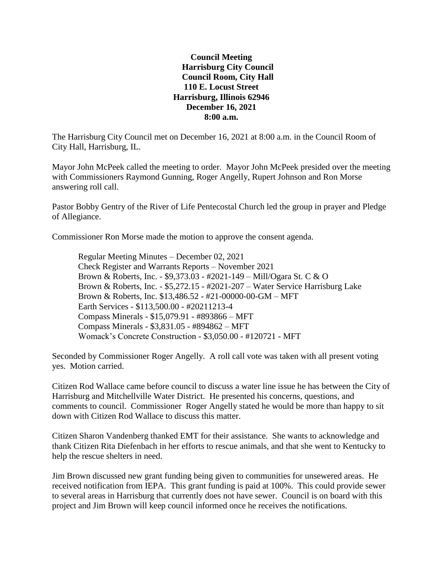**Council Meeting Harrisburg City Council Council Room, City Hall 110 E. Locust Street Harrisburg, Illinois 62946 December 16, 2021 8:00 a.m.**

The Harrisburg City Council met on December 16, 2021 at 8:00 a.m. in the Council Room of City Hall, Harrisburg, IL.

Mayor John McPeek called the meeting to order. Mayor John McPeek presided over the meeting with Commissioners Raymond Gunning, Roger Angelly, Rupert Johnson and Ron Morse answering roll call.

Pastor Bobby Gentry of the River of Life Pentecostal Church led the group in prayer and Pledge of Allegiance.

Commissioner Ron Morse made the motion to approve the consent agenda.

Regular Meeting Minutes – December 02, 2021 Check Register and Warrants Reports – November 2021 Brown & Roberts, Inc. - \$9,373.03 - #2021-149 – Mill/Ogara St. C & O Brown & Roberts, Inc. - \$5,272.15 - #2021-207 – Water Service Harrisburg Lake Brown & Roberts, Inc. \$13,486.52 - #21-00000-00-GM – MFT Earth Services - \$113,500.00 - #20211213-4 Compass Minerals - \$15,079.91 - #893866 – MFT Compass Minerals - \$3,831.05 - #894862 – MFT Womack's Concrete Construction - \$3,050.00 - #120721 - MFT

Seconded by Commissioner Roger Angelly. A roll call vote was taken with all present voting yes. Motion carried.

Citizen Rod Wallace came before council to discuss a water line issue he has between the City of Harrisburg and Mitchellville Water District. He presented his concerns, questions, and comments to council. Commissioner Roger Angelly stated he would be more than happy to sit down with Citizen Rod Wallace to discuss this matter.

Citizen Sharon Vandenberg thanked EMT for their assistance. She wants to acknowledge and thank Citizen Rita Diefenbach in her efforts to rescue animals, and that she went to Kentucky to help the rescue shelters in need.

Jim Brown discussed new grant funding being given to communities for unsewered areas. He received notification from IEPA. This grant funding is paid at 100%. This could provide sewer to several areas in Harrisburg that currently does not have sewer. Council is on board with this project and Jim Brown will keep council informed once he receives the notifications.